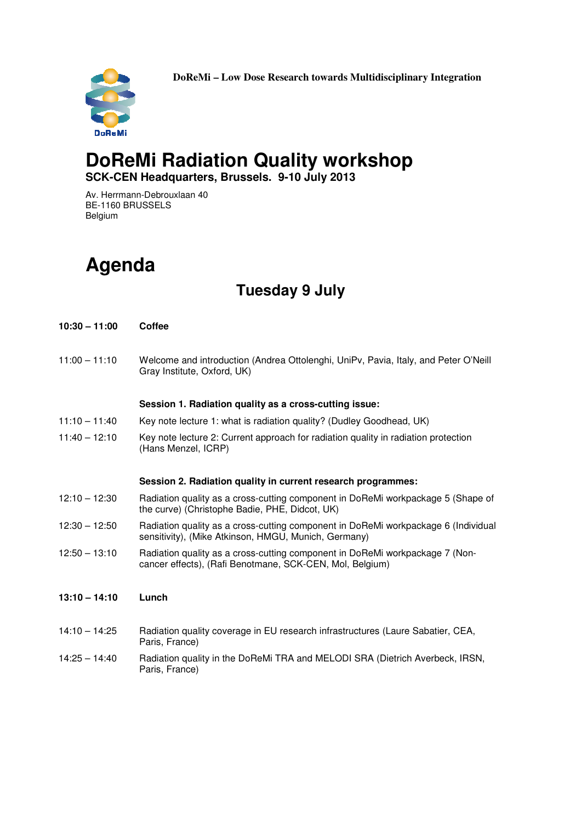**DoReMi – Low Dose Research towards Multidisciplinary Integration** 



### **DoReMi Radiation Quality workshop SCK-CEN Headquarters, Brussels. 9-10 July 2013**

Av. Herrmann-Debrouxlaan 40 BE-1160 BRUSSELS Belgium

# **Agenda**

## **Tuesday 9 July**

| $10:30 - 11:00$ | <b>Coffee</b>                                                                                                                              |
|-----------------|--------------------------------------------------------------------------------------------------------------------------------------------|
| $11:00 - 11:10$ | Welcome and introduction (Andrea Ottolenghi, UniPv, Pavia, Italy, and Peter O'Neill<br>Gray Institute, Oxford, UK)                         |
|                 | Session 1. Radiation quality as a cross-cutting issue:                                                                                     |
| $11:10 - 11:40$ | Key note lecture 1: what is radiation quality? (Dudley Goodhead, UK)                                                                       |
| $11:40 - 12:10$ | Key note lecture 2: Current approach for radiation quality in radiation protection<br>(Hans Menzel, ICRP)                                  |
|                 | Session 2. Radiation quality in current research programmes:                                                                               |
| $12:10 - 12:30$ | Radiation quality as a cross-cutting component in DoReMi workpackage 5 (Shape of<br>the curve) (Christophe Badie, PHE, Didcot, UK)         |
| $12:30 - 12:50$ | Radiation quality as a cross-cutting component in DoReMi workpackage 6 (Individual<br>sensitivity), (Mike Atkinson, HMGU, Munich, Germany) |
| $12:50 - 13:10$ | Radiation quality as a cross-cutting component in DoReMi workpackage 7 (Non-<br>cancer effects), (Rafi Benotmane, SCK-CEN, Mol, Belgium)   |
| $13:10 - 14:10$ | Lunch                                                                                                                                      |
| $14:10 - 14:25$ | Radiation quality coverage in EU research infrastructures (Laure Sabatier, CEA,<br>Paris, France)                                          |
| $14:25 - 14:40$ | Radiation quality in the DoReMi TRA and MELODI SRA (Dietrich Averbeck, IRSN,<br>Paris, France)                                             |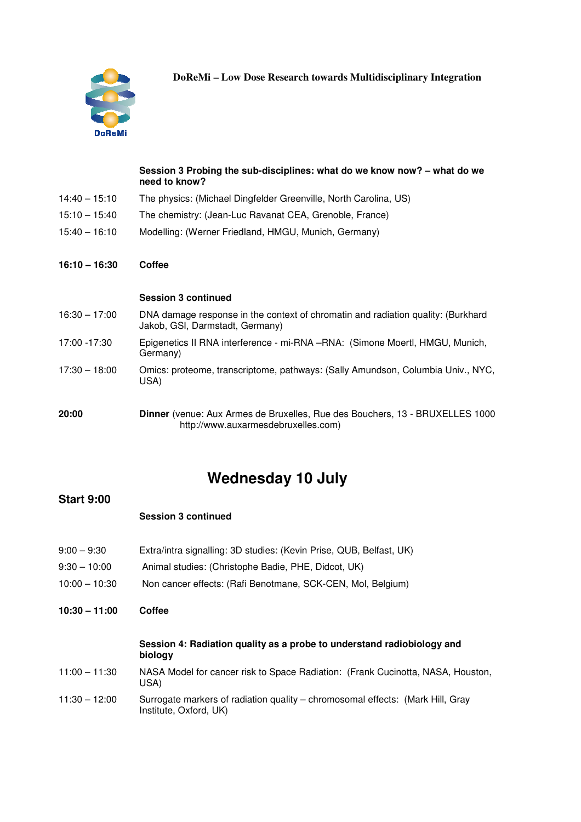

**DoReMi – Low Dose Research towards Multidisciplinary Integration** 

|                 | Session 3 Probing the sub-disciplines: what do we know now? – what do we<br>need to know?                                  |
|-----------------|----------------------------------------------------------------------------------------------------------------------------|
| $14:40 - 15:10$ | The physics: (Michael Dingfelder Greenville, North Carolina, US)                                                           |
| $15:10 - 15:40$ | The chemistry: (Jean-Luc Ravanat CEA, Grenoble, France)                                                                    |
| $15:40 - 16:10$ | Modelling: (Werner Friedland, HMGU, Munich, Germany)                                                                       |
| $16:10 - 16:30$ | Coffee                                                                                                                     |
|                 | <b>Session 3 continued</b>                                                                                                 |
| $16:30 - 17:00$ | DNA damage response in the context of chromatin and radiation quality: (Burkhard<br>Jakob, GSI, Darmstadt, Germany)        |
| 17:00 - 17:30   | Epigenetics II RNA interference - mi-RNA -RNA: (Simone Moertl, HMGU, Munich,<br>Germany)                                   |
| $17:30 - 18:00$ | Omics: proteome, transcriptome, pathways: (Sally Amundson, Columbia Univ., NYC,<br>USA)                                    |
| 20:00           | <b>Dinner</b> (venue: Aux Armes de Bruxelles, Rue des Bouchers, 13 - BRUXELLES 1000<br>http://www.auxarmesdebruxelles.com) |

## **Wednesday 10 July**

#### **Start 9:00**

#### **Session 3 continued**

- 9:00 9:30 Extra/intra signalling: 3D studies: (Kevin Prise, QUB, Belfast, UK)
- 9:30 10:00 Animal studies: (Christophe Badie, PHE, Didcot, UK)
- 10:00 10:30 Non cancer effects: (Rafi Benotmane, SCK-CEN, Mol, Belgium)
- **10:30 11:00 Coffee**

#### **Session 4: Radiation quality as a probe to understand radiobiology and biology**

- 11:00 11:30 NASA Model for cancer risk to Space Radiation: (Frank Cucinotta, NASA, Houston, USA)
- 11:30 12:00 Surrogate markers of radiation quality chromosomal effects: (Mark Hill, Gray Institute, Oxford, UK)